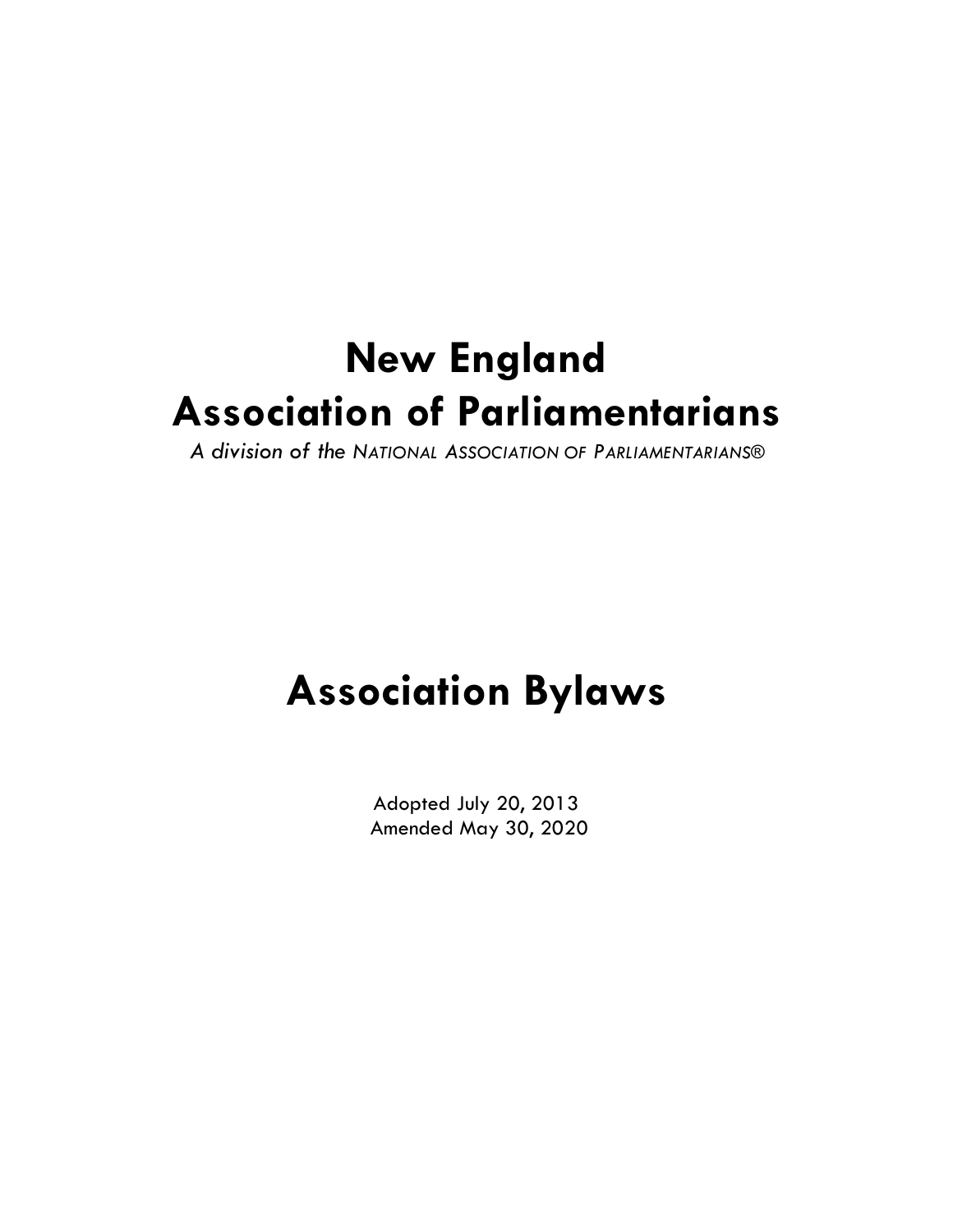# **New England Association of Parliamentarians**

*A division of the NATIONAL ASSOCIATION OF PARLIAMENTARIANS®*

# **Association Bylaws**

Adopted July 20, 2013 Amended May 30, 2020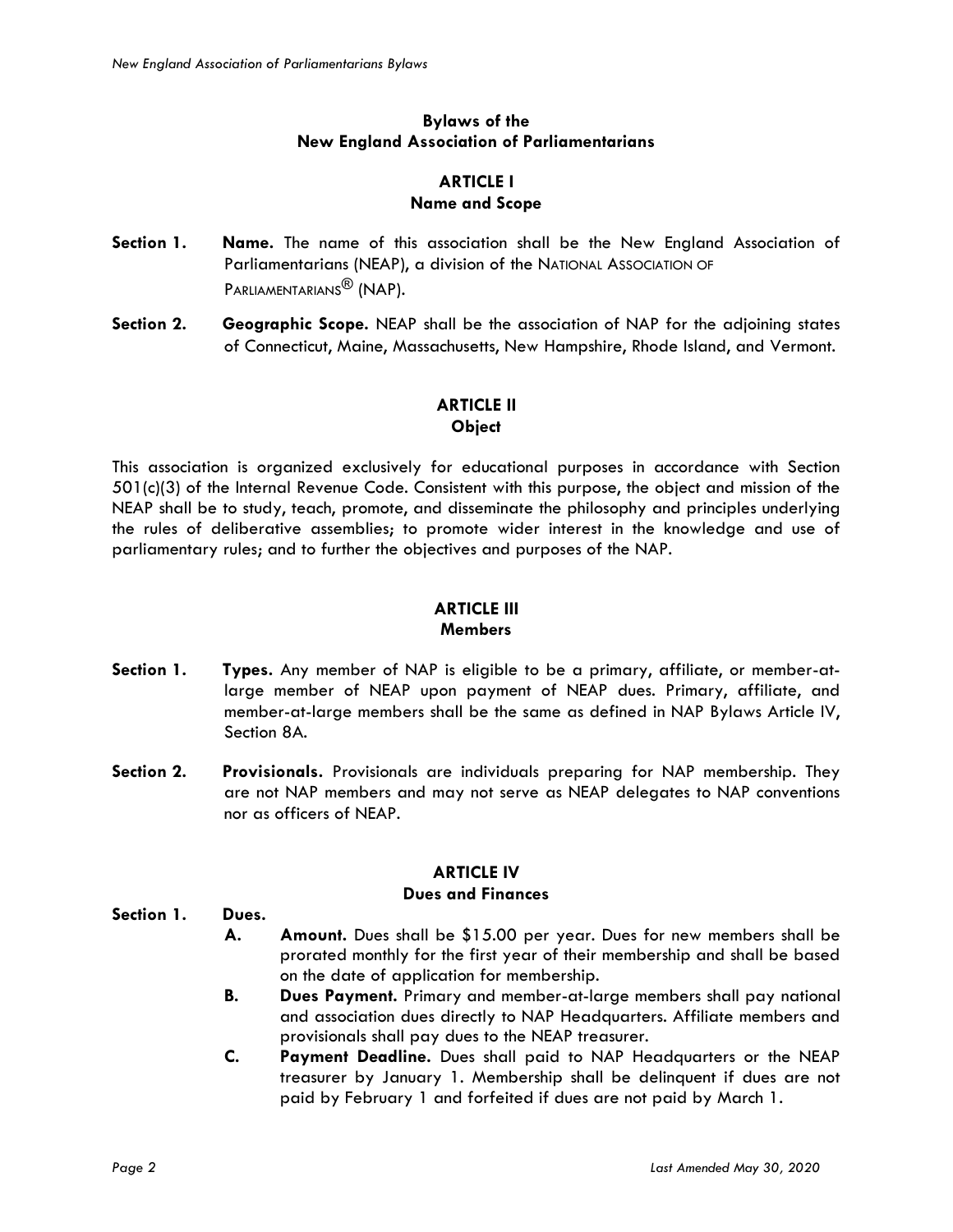## **Bylaws of the New England Association of Parliamentarians**

### **ARTICLE I Name and Scope**

- **Section 1. Name.** The name of this association shall be the New England Association of Parliamentarians (NEAP), a division of the NATIONAL ASSOCIATION OF PARLIAMENTARIANS<sup>®</sup> (NAP).
- **Section 2. Geographic Scope.** NEAP shall be the association of NAP for the adjoining states of Connecticut, Maine, Massachusetts, New Hampshire, Rhode Island, and Vermont.

### **ARTICLE II Object**

This association is organized exclusively for educational purposes in accordance with Section 501(c)(3) of the Internal Revenue Code. Consistent with this purpose, the object and mission of the NEAP shall be to study, teach, promote, and disseminate the philosophy and principles underlying the rules of deliberative assemblies; to promote wider interest in the knowledge and use of parliamentary rules; and to further the objectives and purposes of the NAP.

# **ARTICLE III Members**

- **Section 1. Types.** Any member of NAP is eligible to be a primary, affiliate, or member-atlarge member of NEAP upon payment of NEAP dues. Primary, affiliate, and member-at-large members shall be the same as defined in NAP Bylaws Article IV, Section 8A.
- **Section 2. Provisionals.** Provisionals are individuals preparing for NAP membership. They are not NAP members and may not serve as NEAP delegates to NAP conventions nor as officers of NEAP.

# **ARTICLE IV**

## **Dues and Finances**

**Section 1. Dues.**

- **A. Amount.** Dues shall be \$15.00 per year. Dues for new members shall be prorated monthly for the first year of their membership and shall be based on the date of application for membership.
- **B. Dues Payment.** Primary and member-at-large members shall pay national and association dues directly to NAP Headquarters. Affiliate members and provisionals shall pay dues to the NEAP treasurer.
- **C. Payment Deadline.** Dues shall paid to NAP Headquarters or the NEAP treasurer by January 1. Membership shall be delinquent if dues are not paid by February 1 and forfeited if dues are not paid by March 1.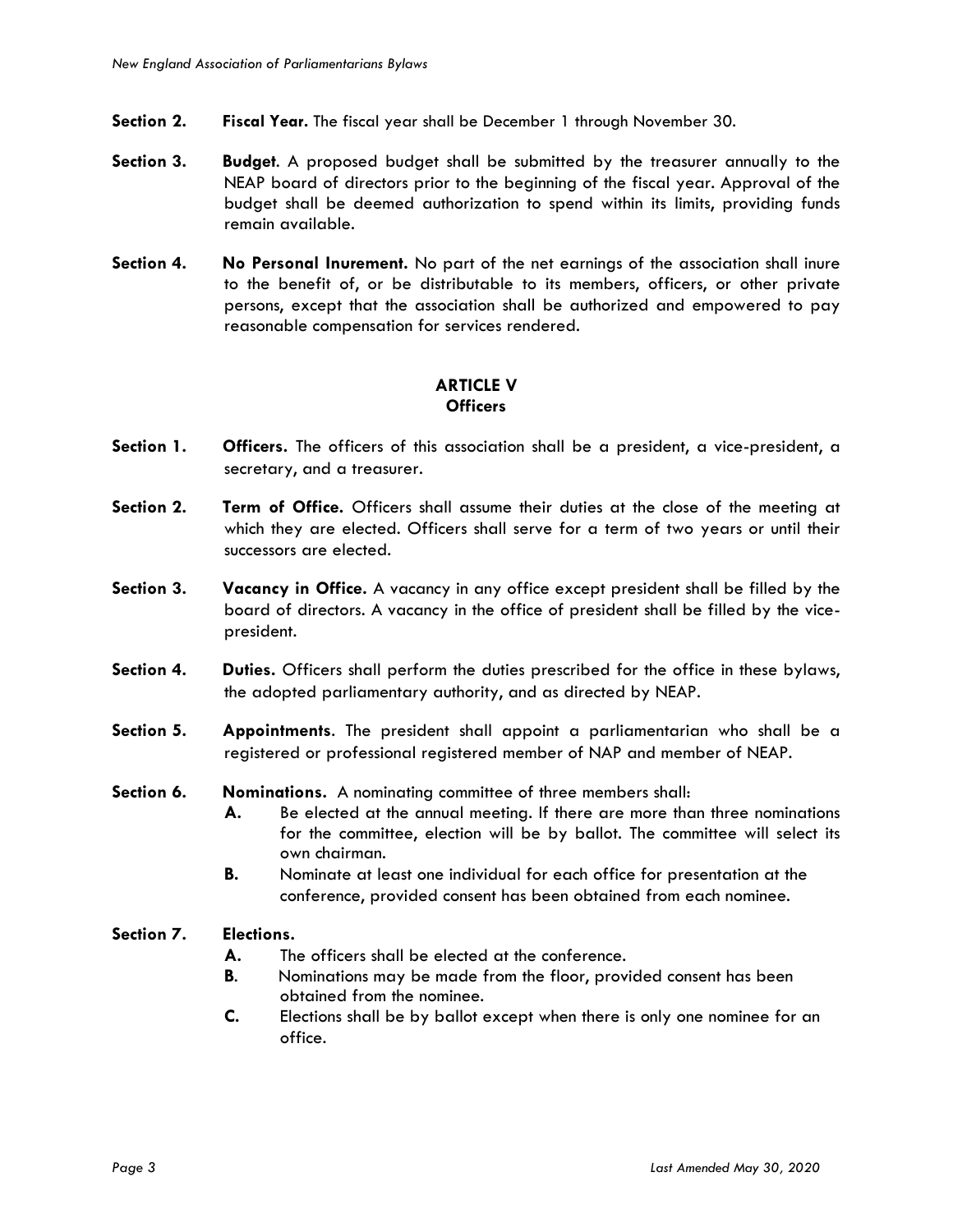- **Section 2. Fiscal Year.** The fiscal year shall be December 1 through November 30.
- **Section 3. Budget**. A proposed budget shall be submitted by the treasurer annually to the NEAP board of directors prior to the beginning of the fiscal year. Approval of the budget shall be deemed authorization to spend within its limits, providing funds remain available.
- **Section 4. No Personal Inurement.** No part of the net earnings of the association shall inure to the benefit of, or be distributable to its members, officers, or other private persons, except that the association shall be authorized and empowered to pay reasonable compensation for services rendered.

### **ARTICLE V Officers**

- **Section 1. Officers.** The officers of this association shall be a president, a vice-president, a secretary, and a treasurer.
- **Section 2. Term of Office.** Officers shall assume their duties at the close of the meeting at which they are elected. Officers shall serve for a term of two years or until their successors are elected.
- **Section 3. Vacancy in Office.** A vacancy in any office except president shall be filled by the board of directors. A vacancy in the office of president shall be filled by the vicepresident.
- **Section 4. Duties.** Officers shall perform the duties prescribed for the office in these bylaws, the adopted parliamentary authority, and as directed by NEAP.
- **Section 5. Appointments**. The president shall appoint a parliamentarian who shall be a registered or professional registered member of NAP and member of NEAP.
- **Section 6. Nominations.** A nominating committee of three members shall:
	- **A.** Be elected at the annual meeting. If there are more than three nominations for the committee, election will be by ballot. The committee will select its own chairman.
	- **B.** Nominate at least one individual for each office for presentation at the conference, provided consent has been obtained from each nominee.

#### **Section 7. Elections.**

- **A.** The officers shall be elected at the conference.
- **B**. Nominations may be made from the floor, provided consent has been obtained from the nominee.
- **C.** Elections shall be by ballot except when there is only one nominee for an office.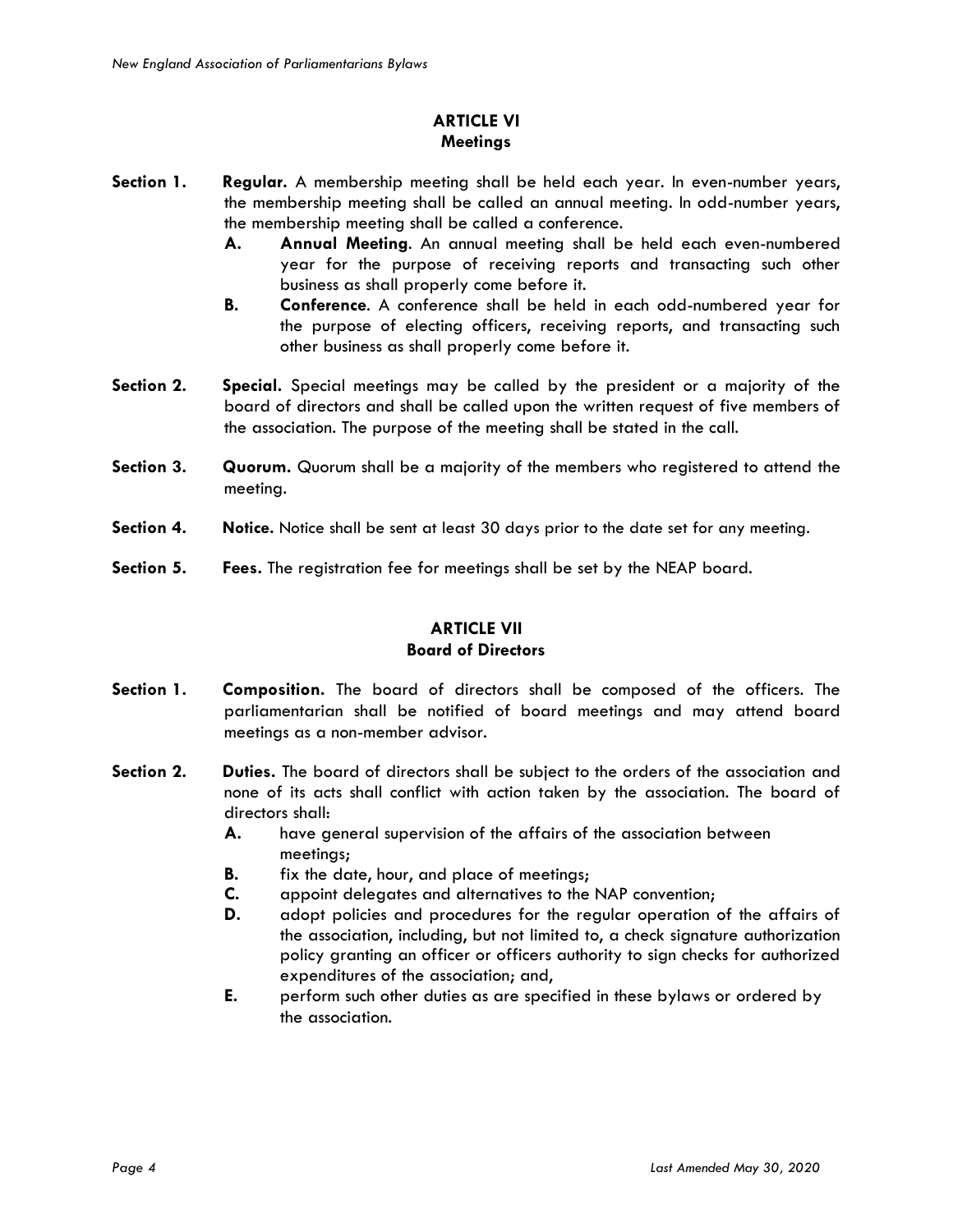# **ARTICLE VI Meetings**

- **Section 1. Regular.** A membership meeting shall be held each year. In even-number years, the membership meeting shall be called an annual meeting. In odd-number years, the membership meeting shall be called a conference.
	- **A. Annual Meeting**. An annual meeting shall be held each even-numbered year for the purpose of receiving reports and transacting such other business as shall properly come before it.
	- **B. Conference**. A conference shall be held in each odd-numbered year for the purpose of electing officers, receiving reports, and transacting such other business as shall properly come before it.
- **Section 2. Special.** Special meetings may be called by the president or a majority of the board of directors and shall be called upon the written request of five members of the association. The purpose of the meeting shall be stated in the call.
- **Section 3. Quorum.** Quorum shall be a majority of the members who registered to attend the meeting.
- **Section 4. Notice.** Notice shall be sent at least 30 days prior to the date set for any meeting.
- **Section 5. Fees.** The registration fee for meetings shall be set by the NEAP board.

# **ARTICLE VII Board of Directors**

- **Section 1. Composition.** The board of directors shall be composed of the officers. The parliamentarian shall be notified of board meetings and may attend board meetings as a non-member advisor.
- **Section 2. Duties.** The board of directors shall be subject to the orders of the association and none of its acts shall conflict with action taken by the association. The board of directors shall:
	- **A.** have general supervision of the affairs of the association between meetings;
	- **B.** fix the date, hour, and place of meetings;
	- **C.** appoint delegates and alternatives to the NAP convention;
	- **D.** adopt policies and procedures for the regular operation of the affairs of the association, including, but not limited to, a check signature authorization policy granting an officer or officers authority to sign checks for authorized expenditures of the association; and,
	- **E.** perform such other duties as are specified in these bylaws or ordered by the association.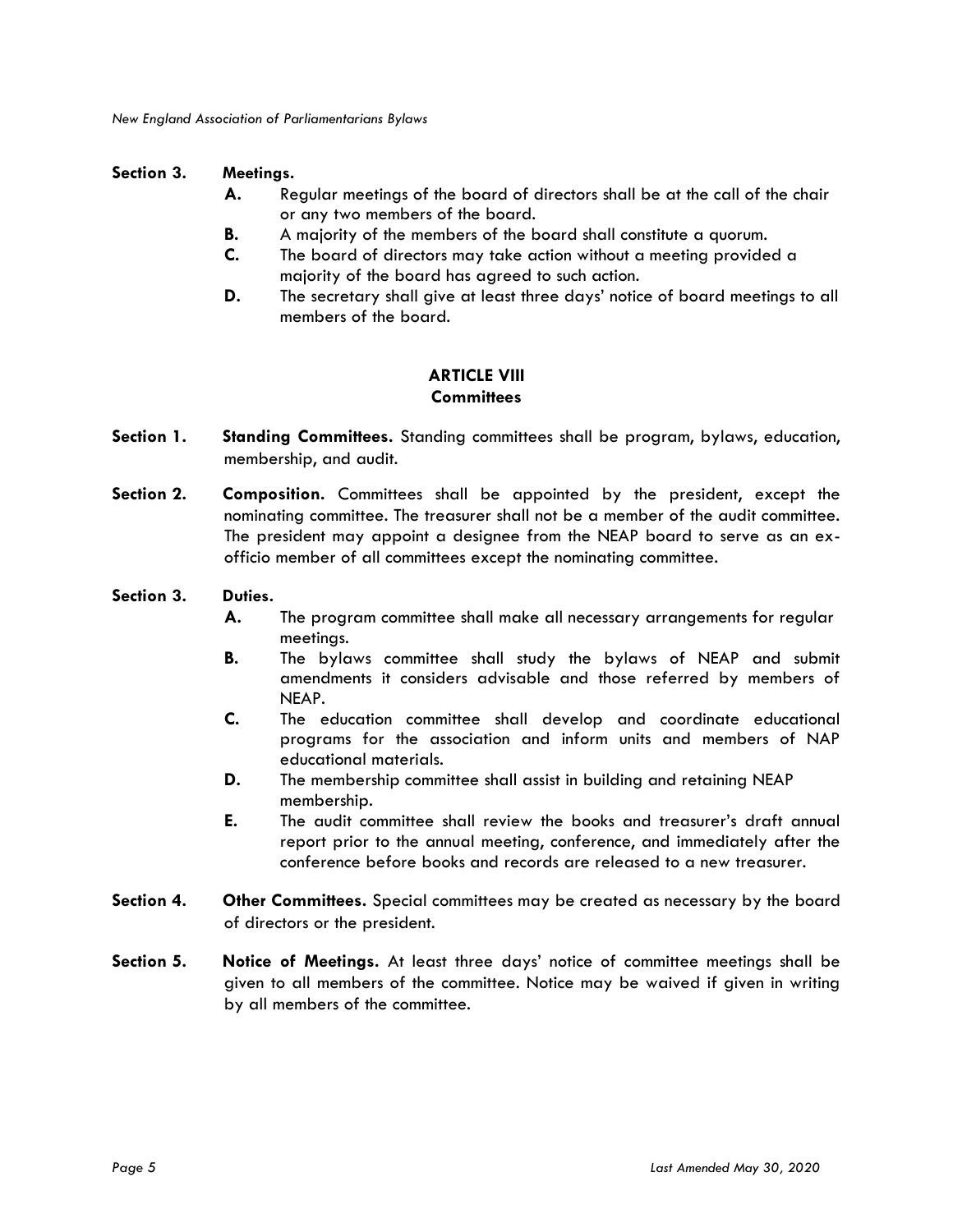#### **Section 3. Meetings.**

- **A.** Regular meetings of the board of directors shall be at the call of the chair or any two members of the board.
- **B.** A majority of the members of the board shall constitute a quorum.
- **C.** The board of directors may take action without a meeting provided a majority of the board has agreed to such action.
- **D.** The secretary shall give at least three days' notice of board meetings to all members of the board.

### **ARTICLE VIII Committees**

- **Section 1. Standing Committees.** Standing committees shall be program, bylaws, education, membership, and audit.
- **Section 2. Composition.** Committees shall be appointed by the president, except the nominating committee. The treasurer shall not be a member of the audit committee. The president may appoint a designee from the NEAP board to serve as an exofficio member of all committees except the nominating committee.

#### **Section 3. Duties.**

- **A.** The program committee shall make all necessary arrangements for regular meetings.
- **B.** The bylaws committee shall study the bylaws of NEAP and submit amendments it considers advisable and those referred by members of NEAP.
- **C.** The education committee shall develop and coordinate educational programs for the association and inform units and members of NAP educational materials.
- **D.** The membership committee shall assist in building and retaining NEAP membership.
- **E.** The audit committee shall review the books and treasurer's draft annual report prior to the annual meeting, conference, and immediately after the conference before books and records are released to a new treasurer.
- **Section 4. Other Committees.** Special committees may be created as necessary by the board of directors or the president.
- **Section 5. Notice of Meetings.** At least three days' notice of committee meetings shall be given to all members of the committee. Notice may be waived if given in writing by all members of the committee.